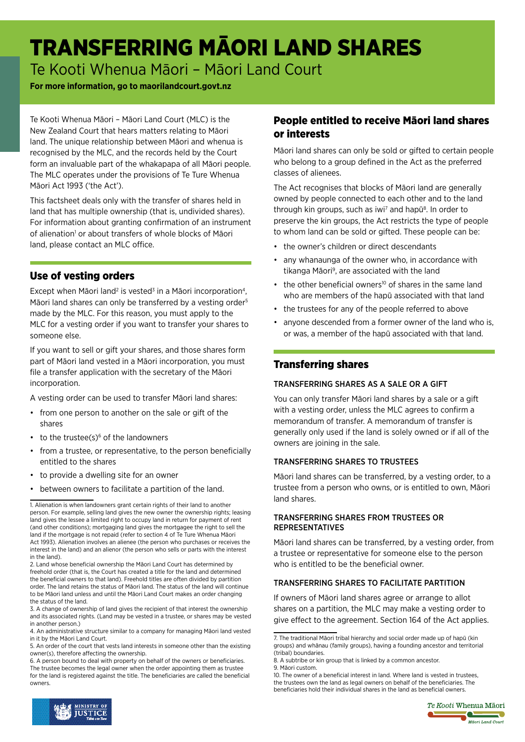# TRANSFERRING MĀORI LAND SHARES

Te Kooti Whenua Māori – Māori Land Court

#### **For more information, go to maorilandcourt.govt.nz**

Te Kooti Whenua Māori – Māori Land Court (MLC) is the New Zealand Court that hears matters relating to Māori land. The unique relationship between Māori and whenua is recognised by the MLC, and the records held by the Court form an invaluable part of the whakapapa of all Māori people. The MLC operates under the provisions of Te Ture Whenua Māori Act 1993 ('the Act').

This factsheet deals only with the transfer of shares held in land that has multiple ownership (that is, undivided shares). For information about granting confirmation of an instrument of alienation<sup>1</sup> or about transfers of whole blocks of Māori land, please contact an MLC office.

## Use of vesting orders

Except when Māori land<sup>2</sup> is vested<sup>3</sup> in a Māori incorporation<sup>4</sup>, Māori land shares can only be transferred by a vesting order<sup>5</sup> made by the MLC. For this reason, you must apply to the MLC for a vesting order if you want to transfer your shares to someone else.

If you want to sell or gift your shares, and those shares form part of Māori land vested in a Māori incorporation, you must file a transfer application with the secretary of the Māori incorporation.

A vesting order can be used to transfer Māori land shares:

- from one person to another on the sale or gift of the shares
- $\cdot$  to the trustee(s) $\circ$  of the landowners
- from a trustee, or representative, to the person beneficially entitled to the shares
- to provide a dwelling site for an owner
- between owners to facilitate a partition of the land.

2. Land whose beneficial ownership the Māori Land Court has determined by freehold order (that is, the Court has created a title for the land and determined the beneficial owners to that land). Freehold titles are often divided by partition order. The land retains the status of Māori land. The status of the land will continue to be Māori land unless and until the Māori Land Court makes an order changing the status of the land.

3. A change of ownership of land gives the recipient of that interest the ownership and its associated rights. (Land may be vested in a trustee, or shares may be vested in another person.)

## People entitled to receive Māori land shares or interests

Māori land shares can only be sold or gifted to certain people who belong to a group defined in the Act as the preferred classes of alienees.

The Act recognises that blocks of Māori land are generally owned by people connected to each other and to the land through kin groups, such as iwi<sup>7</sup> and hapū<sup>8</sup>. In order to preserve the kin groups, the Act restricts the type of people to whom land can be sold or gifted. These people can be:

- the owner's children or direct descendants
- any whanaunga of the owner who, in accordance with tikanga Māori<sup>9</sup>, are associated with the land
- the other beneficial owners<sup>10</sup> of shares in the same land who are members of the hapū associated with that land
- the trustees for any of the people referred to above
- anyone descended from a former owner of the land who is, or was, a member of the hapū associated with that land.

# Transferring shares

#### TRANSFERRING SHARES AS A SALE OR A GIFT

You can only transfer Māori land shares by a sale or a gift with a vesting order, unless the MLC agrees to confirm a memorandum of transfer. A memorandum of transfer is generally only used if the land is solely owned or if all of the owners are joining in the sale.

#### TRANSFERRING SHARES TO TRUSTEES

Māori land shares can be transferred, by a vesting order, to a trustee from a person who owns, or is entitled to own, Māori land shares.

#### TRANSFERRING SHARES FROM TRUSTEES OR **REPRESENTATIVES**

Māori land shares can be transferred, by a vesting order, from a trustee or representative for someone else to the person who is entitled to be the beneficial owner.

#### TRANSFERRING SHARES TO FACILITATE PARTITION

If owners of Māori land shares agree or arrange to allot shares on a partition, the MLC may make a vesting order to give effect to the agreement. Section 164 of the Act applies.



<sup>1.</sup> Alienation is when landowners grant certain rights of their land to another person. For example, selling land gives the new owner the ownership rights; leasing land gives the lessee a limited right to occupy land in return for payment of rent (and other conditions); mortgaging land gives the mortgagee the right to sell the land if the mortgage is not repaid (refer to section 4 of Te Ture Whenua Māori Act 1993). Alienation involves an alienee (the person who purchases or receives the interest in the land) and an alienor (the person who sells or parts with the interest in the land).

<sup>4.</sup> An administrative structure similar to a company for managing Māori land vested in it by the Māori Land Court.

<sup>5.</sup> An order of the court that vests land interests in someone other than the existing owner(s), therefore affecting the ownership.

<sup>6.</sup> A person bound to deal with property on behalf of the owners or beneficiaries. The trustee becomes the legal owner when the order appointing them as trustee for the land is registered against the title. The beneficiaries are called the beneficial owners.

<sup>7.</sup> The traditional Māori tribal hierarchy and social order made up of hapū (kin groups) and whānau (family groups), having a founding ancestor and territorial (tribal) boundaries.

<sup>8.</sup> A subtribe or kin group that is linked by a common ancestor. 9. Māori custom.

<sup>10.</sup> The owner of a beneficial interest in land. Where land is vested in trustees, the trustees own the land as legal owners on behalf of the beneficiaries. The beneficiaries hold their individual shares in the land as beneficial owners.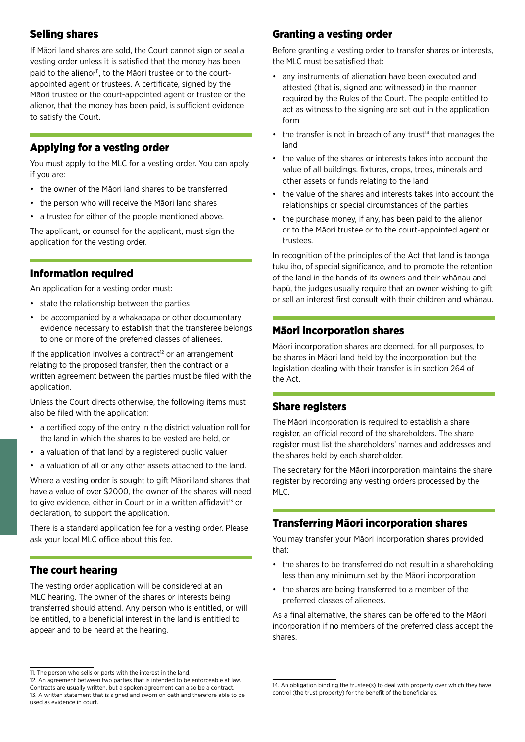# Selling shares

If Māori land shares are sold, the Court cannot sign or seal a vesting order unless it is satisfied that the money has been paid to the alienor<sup>11</sup>, to the Māori trustee or to the courtappointed agent or trustees. A certificate, signed by the Māori trustee or the court-appointed agent or trustee or the alienor, that the money has been paid, is sufficient evidence to satisfy the Court.

## Applying for a vesting order

You must apply to the MLC for a vesting order. You can apply if you are:

- the owner of the Māori land shares to be transferred
- the person who will receive the Māori land shares
- a trustee for either of the people mentioned above.

The applicant, or counsel for the applicant, must sign the application for the vesting order.

## Information required

An application for a vesting order must:

- state the relationship between the parties
- be accompanied by a whakapapa or other documentary evidence necessary to establish that the transferee belongs to one or more of the preferred classes of alienees.

If the application involves a contract<sup>12</sup> or an arrangement relating to the proposed transfer, then the contract or a written agreement between the parties must be filed with the application.

Unless the Court directs otherwise, the following items must also be filed with the application:

- a certified copy of the entry in the district valuation roll for the land in which the shares to be vested are held, or
- a valuation of that land by a registered public valuer
- a valuation of all or any other assets attached to the land.

Where a vesting order is sought to gift Māori land shares that have a value of over \$2000, the owner of the shares will need to give evidence, either in Court or in a written affidavit<sup>13</sup> or declaration, to support the application.

There is a standard application fee for a vesting order. Please ask your local MLC office about this fee.

## The court hearing

The vesting order application will be considered at an MLC hearing. The owner of the shares or interests being transferred should attend. Any person who is entitled, or will be entitled, to a beneficial interest in the land is entitled to appear and to be heard at the hearing.

# Granting a vesting order

Before granting a vesting order to transfer shares or interests, the MLC must be satisfied that:

- any instruments of alienation have been executed and attested (that is, signed and witnessed) in the manner required by the Rules of the Court. The people entitled to act as witness to the signing are set out in the application form
- the transfer is not in breach of any trust<sup>14</sup> that manages the land
- the value of the shares or interests takes into account the value of all buildings, fixtures, crops, trees, minerals and other assets or funds relating to the land
- the value of the shares and interests takes into account the relationships or special circumstances of the parties
- the purchase money, if any, has been paid to the alienor or to the Māori trustee or to the court-appointed agent or trustees.

In recognition of the principles of the Act that land is taonga tuku iho, of special significance, and to promote the retention of the land in the hands of its owners and their whānau and hapū, the judges usually require that an owner wishing to gift or sell an interest first consult with their children and whānau.

# Māori incorporation shares

Māori incorporation shares are deemed, for all purposes, to be shares in Māori land held by the incorporation but the legislation dealing with their transfer is in section 264 of the Act.

## Share registers

The Māori incorporation is required to establish a share register, an official record of the shareholders. The share register must list the shareholders' names and addresses and the shares held by each shareholder.

The secretary for the Māori incorporation maintains the share register by recording any vesting orders processed by the MLC.

# Transferring Māori incorporation shares

You may transfer your Māori incorporation shares provided that:

- the shares to be transferred do not result in a shareholding less than any minimum set by the Māori incorporation
- the shares are being transferred to a member of the preferred classes of alienees.

As a final alternative, the shares can be offered to the Māori incorporation if no members of the preferred class accept the shares.

<sup>11.</sup> The person who sells or parts with the interest in the land.

<sup>12.</sup> An agreement between two parties that is intended to be enforceable at law. Contracts are usually written, but a spoken agreement can also be a contract. 13. A written statement that is signed and sworn on oath and therefore able to be used as evidence in court.

<sup>14.</sup> An obligation binding the trustee(s) to deal with property over which they have control (the trust property) for the benefit of the beneficiaries.